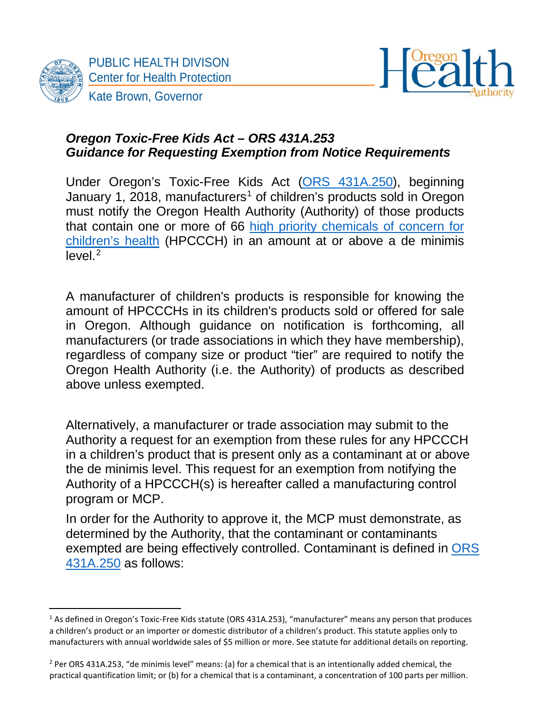

 $\overline{a}$ 



#### *Oregon Toxic-Free Kids Act – ORS 431A.253 Guidance for Requesting Exemption from Notice Requirements*

Under Oregon's Toxic-Free Kids Act [\(ORS 431A.250\)](https://www.oregonlegislature.gov/bills_laws/ors/ors431a.html), beginning January [1](#page-0-0), 2018, manufacturers<sup>1</sup> of children's products sold in Oregon must notify the Oregon Health Authority (Authority) of those products that contain one or more of 66 [high priority chemicals of concern for](http://public.health.oregon.gov/HealthyEnvironments/HealthyNeighborhoods/ToxicSubstances/Pages/childrens-chemicals-of-concern.aspx)  [children's health](http://public.health.oregon.gov/HealthyEnvironments/HealthyNeighborhoods/ToxicSubstances/Pages/childrens-chemicals-of-concern.aspx) (HPCCCH) in an amount at or above a de minimis  $level<sup>2</sup>$  $level<sup>2</sup>$  $level<sup>2</sup>$ 

A manufacturer of children's products is responsible for knowing the amount of HPCCCHs in its children's products sold or offered for sale in Oregon. Although guidance on notification is forthcoming, all manufacturers (or trade associations in which they have membership), regardless of company size or product "tier" are required to notify the Oregon Health Authority (i.e. the Authority) of products as described above unless exempted.

Alternatively, a manufacturer or trade association may submit to the Authority a request for an exemption from these rules for any HPCCCH in a children's product that is present only as a contaminant at or above the de minimis level. This request for an exemption from notifying the Authority of a HPCCCH(s) is hereafter called a manufacturing control program or MCP.

In order for the Authority to approve it, the MCP must demonstrate, as determined by the Authority, that the contaminant or contaminants exempted are being effectively controlled. Contaminant is defined in [ORS](https://www.oregonlegislature.gov/bills_laws/ors/ors431a.html)  [431A.250](https://www.oregonlegislature.gov/bills_laws/ors/ors431a.html) as follows:

<span id="page-0-0"></span><sup>1</sup> As defined in Oregon's Toxic-Free Kids statute (ORS 431A.253), "manufacturer" means any person that produces a children's product or an importer or domestic distributor of a children's product. This statute applies only to manufacturers with annual worldwide sales of \$5 million or more. See statute for additional details on reporting.

<span id="page-0-1"></span> $2$  Per ORS 431A.253, "de minimis level" means: (a) for a chemical that is an intentionally added chemical, the practical quantification limit; or (b) for a chemical that is a contaminant, a concentration of 100 parts per million.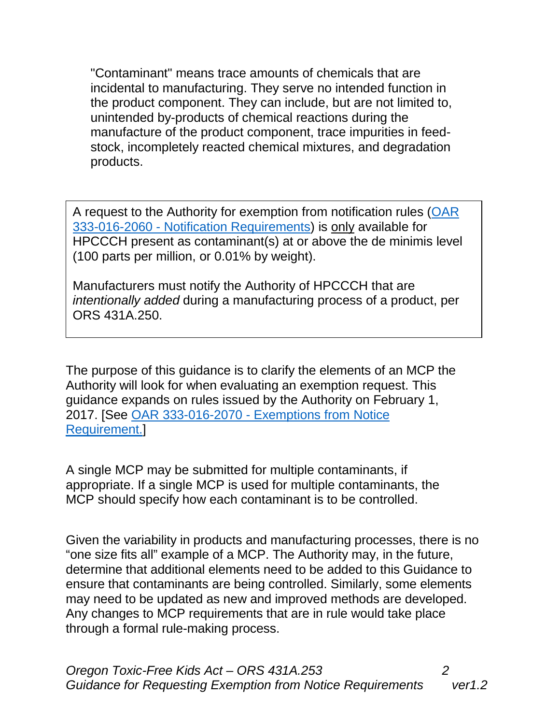"Contaminant" means trace amounts of chemicals that are incidental to manufacturing. They serve no intended function in the product component. They can include, but are not limited to, unintended by-products of chemical reactions during the manufacture of the product component, trace impurities in feedstock, incompletely reacted chemical mixtures, and degradation products.

A request to the Authority for exemption from notification rules [\(OAR](http://public.health.oregon.gov/HealthyEnvironments/HealthyNeighborhoods/ToxicSubstances/Documents/OAR%20333-016%20FINAL%20text%2012-01-16.pdf)  333-016-2060 - [Notification Requirements\)](http://public.health.oregon.gov/HealthyEnvironments/HealthyNeighborhoods/ToxicSubstances/Documents/OAR%20333-016%20FINAL%20text%2012-01-16.pdf) is only available for HPCCCH present as contaminant(s) at or above the de minimis level (100 parts per million, or 0.01% by weight).

Manufacturers must notify the Authority of HPCCCH that are *intentionally added* during a manufacturing process of a product, per ORS 431A.250.

The purpose of this guidance is to clarify the elements of an MCP the Authority will look for when evaluating an exemption request. This guidance expands on rules issued by the Authority on February 1, 2017. [See OAR 333-016-2070 - [Exemptions from Notice](http://public.health.oregon.gov/HealthyEnvironments/HealthyNeighborhoods/ToxicSubstances/Documents/OAR%20333-016%20FINAL%20text%2012-01-16.pdf)  [Requirement.\]](http://public.health.oregon.gov/HealthyEnvironments/HealthyNeighborhoods/ToxicSubstances/Documents/OAR%20333-016%20FINAL%20text%2012-01-16.pdf)

A single MCP may be submitted for multiple contaminants, if appropriate. If a single MCP is used for multiple contaminants, the MCP should specify how each contaminant is to be controlled.

Given the variability in products and manufacturing processes, there is no "one size fits all" example of a MCP. The Authority may, in the future, determine that additional elements need to be added to this Guidance to ensure that contaminants are being controlled. Similarly, some elements may need to be updated as new and improved methods are developed. Any changes to MCP requirements that are in rule would take place through a formal rule-making process.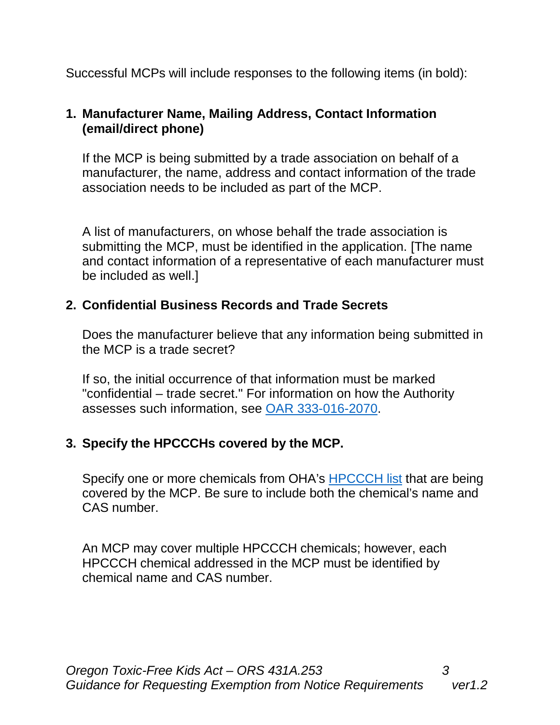Successful MCPs will include responses to the following items (in bold):

## **1. Manufacturer Name, Mailing Address, Contact Information (email/direct phone)**

If the MCP is being submitted by a trade association on behalf of a manufacturer, the name, address and contact information of the trade association needs to be included as part of the MCP.

A list of manufacturers, on whose behalf the trade association is submitting the MCP, must be identified in the application. [The name and contact information of a representative of each manufacturer must be included as well.]

## **2. Confidential Business Records and Trade Secrets**

Does the manufacturer believe that any information being submitted in the MCP is a trade secret?

If so, the initial occurrence of that information must be marked "confidential – trade secret." For information on how the Authority assesses such information, see [OAR 333-016-2070.](https://public.health.oregon.gov/HealthyEnvironments/HealthyNeighborhoods/ToxicSubstances/Documents/OAR%20333-016%20FINAL%20text%2012-01-16.pdf)

# **3. Specify the HPCCCHs covered by the MCP.**

Specify one or more chemicals from OHA's [HPCCCH list](http://public.health.oregon.gov/HealthyEnvironments/HealthyNeighborhoods/ToxicSubstances/Pages/childrens-chemicals-of-concern.aspx) that are being covered by the MCP. Be sure to include both the chemical's name and CAS number.

An MCP may cover multiple HPCCCH chemicals; however, each HPCCCH chemical addressed in the MCP must be identified by chemical name and CAS number.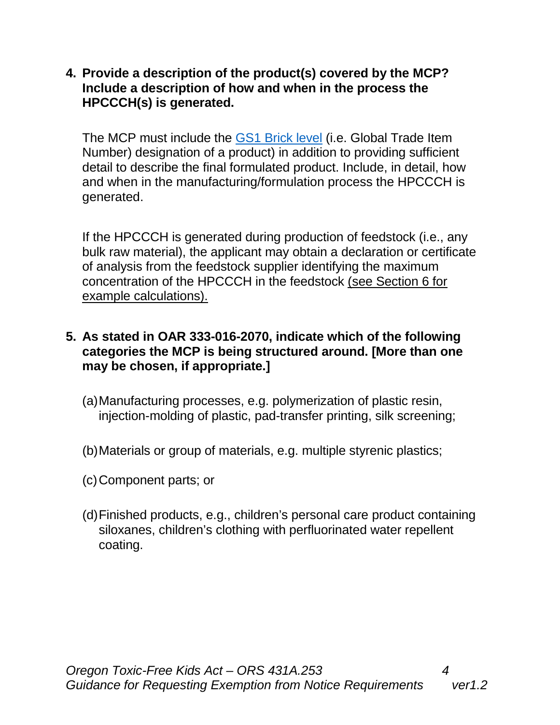**4. Provide a description of the product(s) covered by the MCP? Include a description of how and when in the process the HPCCCH(s) is generated.** 

The MCP must include the [GS1 Brick level](http://www.gs1.org/how-gpc-works) (i.e. Global Trade Item Number) designation of a product) in addition to providing sufficient detail to describe the final formulated product. Include, in detail, how and when in the manufacturing/formulation process the HPCCCH is generated.

If the HPCCCH is generated during production of feedstock (i.e., any bulk raw material), the applicant may obtain a declaration or certificate of analysis from the feedstock supplier identifying the maximum concentration of the HPCCCH in the feedstock (see Section 6 for example calculations).

### **5. As stated in OAR 333-016-2070, indicate which of the following categories the MCP is being structured around. [More than one may be chosen, if appropriate.]**

- (a)Manufacturing processes, e.g. polymerization of plastic resin, injection-molding of plastic, pad-transfer printing, silk screening;
- (b)Materials or group of materials, e.g. multiple styrenic plastics;
- (c)Component parts; or
- (d)Finished products, e.g., children's personal care product containing siloxanes, children's clothing with perfluorinated water repellent coating.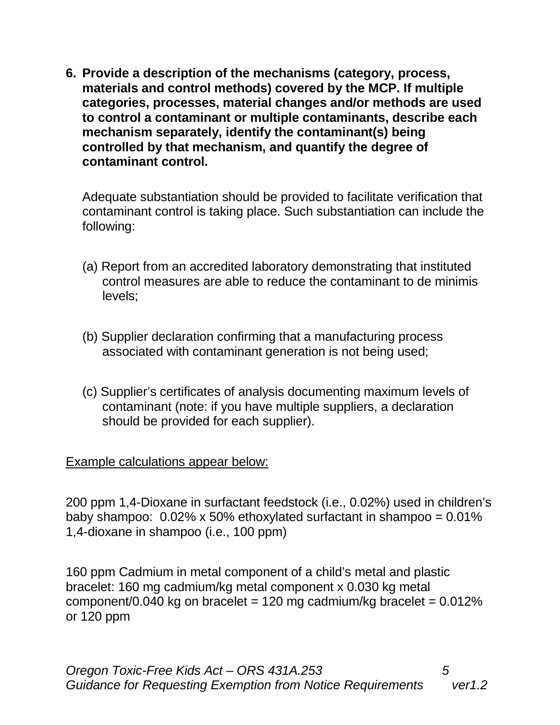**6. Provide a description of the mechanisms (category, process, materials and control methods) covered by the MCP. If multiple categories, processes, material changes and/or methods are used to control a contaminant or multiple contaminants, describe each mechanism separately, identify the contaminant(s) being controlled by that mechanism, and quantify the degree of contaminant control.** 

Adequate substantiation should be provided to facilitate verification that contaminant control is taking place. Such substantiation can include the following:

- (a) Report from an accredited laboratory demonstrating that instituted control measures are able to reduce the contaminant to de minimis levels;
- (b) Supplier declaration confirming that a manufacturing process associated with contaminant generation is not being used;
- (c) Supplier's certificates of analysis documenting maximum levels of contaminant (note: if you have multiple suppliers, a declaration should be provided for each supplier).

### Example calculations appear below:

200 ppm 1,4-Dioxane in surfactant feedstock (i.e., 0.02%) used in children's baby shampoo: 0.02% x 50% ethoxylated surfactant in shampoo = 0.01% 1,4-dioxane in shampoo (i.e., 100 ppm)

160 ppm Cadmium in metal component of a child's metal and plastic bracelet: 160 mg cadmium/kg metal component x 0.030 kg metal component/0.040 kg on bracelet = 120 mg cadmium/kg bracelet =  $0.012\%$ or 120 ppm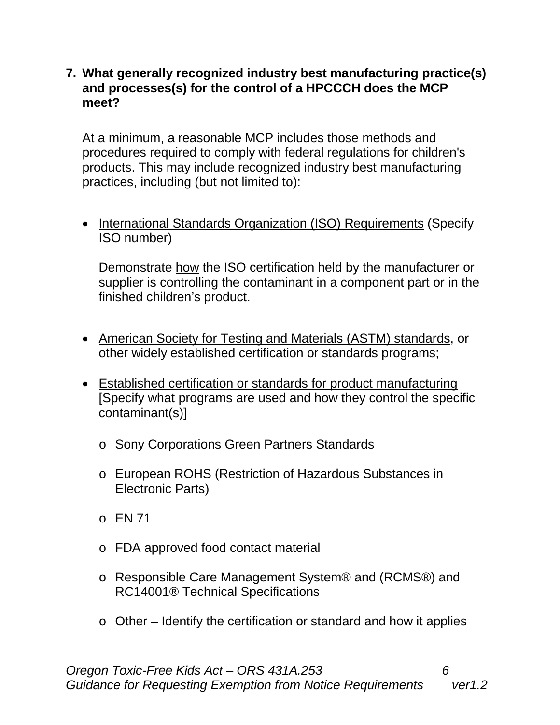#### **7. What generally recognized industry best manufacturing practice(s) and processes(s) for the control of a HPCCCH does the MCP meet?**

At a minimum, a reasonable MCP includes those methods and procedures required to comply with federal regulations for children's products. This may include recognized industry best manufacturing practices, including (but not limited to):

• International Standards Organization (ISO) Requirements (Specify ISO number)

Demonstrate how the ISO certification held by the manufacturer or supplier is controlling the contaminant in a component part or in the finished children's product.

- American Society for Testing and Materials (ASTM) standards, or other widely established certification or standards programs;
- Established certification or standards for product manufacturing [Specify what programs are used and how they control the specific contaminant(s)]
	- o Sony Corporations Green Partners Standards
	- o European ROHS (Restriction of Hazardous Substances in Electronic Parts)
	- $O$  EN 71
	- o FDA approved food contact material
	- o Responsible Care Management System® and (RCMS®) and RC14001® Technical Specifications
	- o Other Identify the certification or standard and how it applies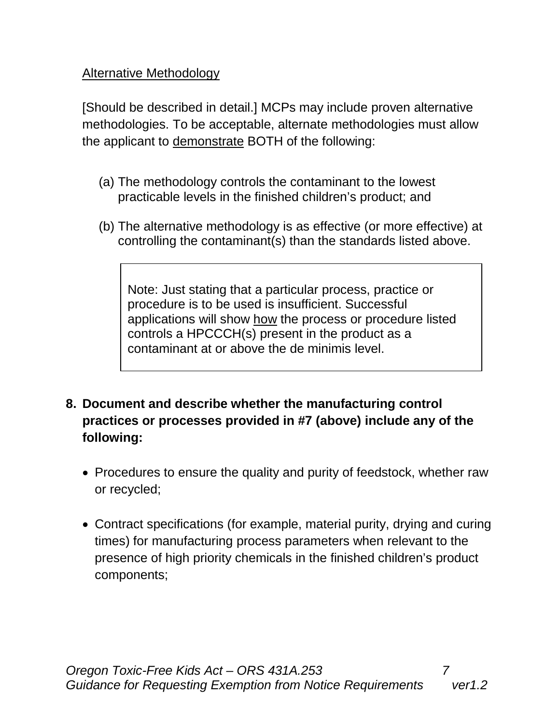## Alternative Methodology

[Should be described in detail.] MCPs may include proven alternative methodologies. To be acceptable, alternate methodologies must allow the applicant to demonstrate BOTH of the following:

- (a) The methodology controls the contaminant to the lowest practicable levels in the finished children's product; and
- (b) The alternative methodology is as effective (or more effective) at controlling the contaminant(s) than the standards listed above.

Note: Just stating that a particular process, practice or procedure is to be used is insufficient. Successful applications will show how the process or procedure listed controls a HPCCCH(s) present in the product as a contaminant at or above the de minimis level.

- **8. Document and describe whether the manufacturing control practices or processes provided in #7 (above) include any of the following:**
	- Procedures to ensure the quality and purity of feedstock, whether raw or recycled;
	- Contract specifications (for example, material purity, drying and curing times) for manufacturing process parameters when relevant to the presence of high priority chemicals in the finished children's product components;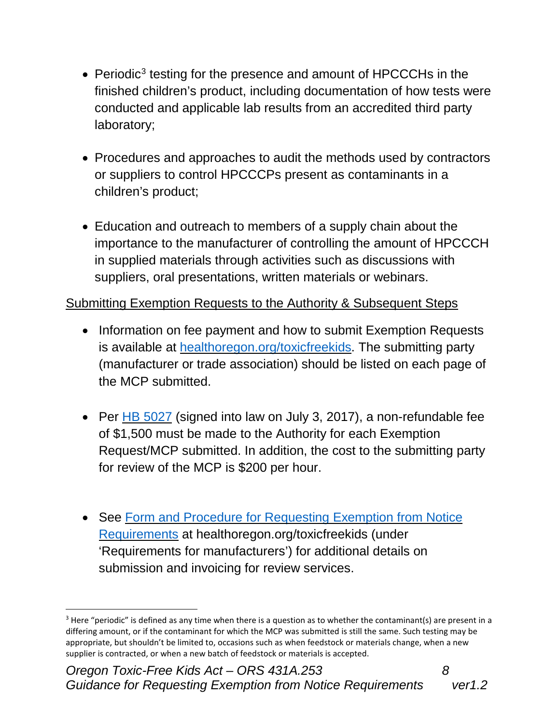- Periodic<sup>[3](#page-7-0)</sup> testing for the presence and amount of HPCCCHs in the finished children's product, including documentation of how tests were conducted and applicable lab results from an accredited third party laboratory;
- Procedures and approaches to audit the methods used by contractors or suppliers to control HPCCCPs present as contaminants in a children's product;
- Education and outreach to members of a supply chain about the importance to the manufacturer of controlling the amount of HPCCCH in supplied materials through activities such as discussions with suppliers, oral presentations, written materials or webinars.

# Submitting Exemption Requests to the Authority & Subsequent Steps

- Information on fee payment and how to submit Exemption Requests is available at [healthoregon.org/toxicfreekids.](http://public.health.oregon.gov/HealthyEnvironments/HealthyNeighborhoods/ToxicSubstances/Pages/Toxic-Free-Kids.aspx) The submitting party (manufacturer or trade association) should be listed on each page of the MCP submitted.
- Per HB [5027](https://olis.leg.state.or.us/liz/2017R1/Downloads/MeasureDocument/HB5027/Enrolled) (signed into law on July 3, 2017), a non-refundable fee of \$1,500 must be made to the Authority for each Exemption Request/MCP submitted. In addition, the cost to the submitting party for review of the MCP is \$200 per hour.
- See Form and Procedure for [Requesting](http://www.oregon.gov/oha/PH/HEALTHYENVIRONMENTS/HEALTHYNEIGHBORHOODS/TOXICSUBSTANCES/Documents/TFK-Exemption-Request-Form-Procedure.pdf) Exemption from Notice [Requirements](http://www.oregon.gov/oha/PH/HEALTHYENVIRONMENTS/HEALTHYNEIGHBORHOODS/TOXICSUBSTANCES/Documents/TFK-Exemption-Request-Form-Procedure.pdf) at healthoregon.org/toxicfreekids (under 'Requirements for manufacturers') for additional details on submission and invoicing for review services.

 $\overline{a}$ 

<span id="page-7-0"></span> $3$  Here "periodic" is defined as any time when there is a question as to whether the contaminant(s) are present in a differing amount, or if the contaminant for which the MCP was submitted is still the same. Such testing may be appropriate, but shouldn't be limited to, occasions such as when feedstock or materials change, when a new supplier is contracted, or when a new batch of feedstock or materials is accepted.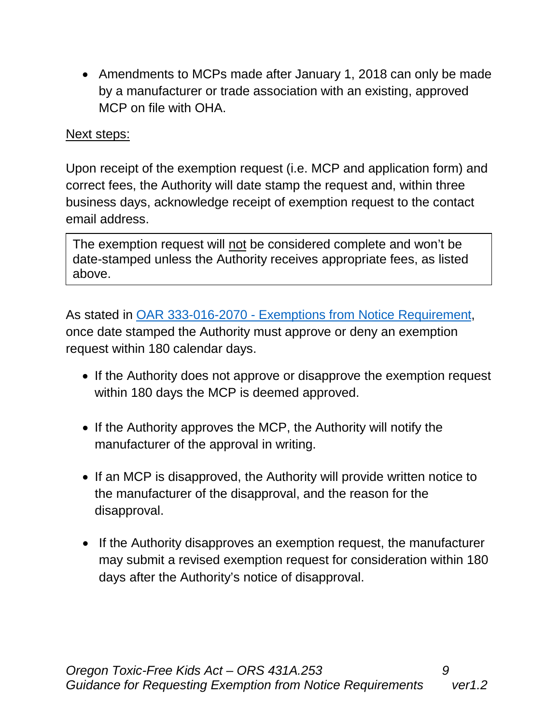• Amendments to MCPs made after January 1, 2018 can only be made by a manufacturer or trade association with an existing, approved MCP on file with OHA.

### Next steps:

Upon receipt of the exemption request (i.e. MCP and application form) and correct fees, the Authority will date stamp the request and, within three business days, acknowledge receipt of exemption request to the contact email address.

The exemption request will not be considered complete and won't be date-stamped unless the Authority receives appropriate fees, as listed above.

As stated in OAR 333-016-2070 - [Exemptions from Notice Requirement,](http://public.health.oregon.gov/HealthyEnvironments/HealthyNeighborhoods/ToxicSubstances/Documents/OAR%20333-016%20FINAL%20text%2012-01-16.pdf) once date stamped the Authority must approve or deny an exemption request within 180 calendar days.

- If the Authority does not approve or disapprove the exemption request within 180 days the MCP is deemed approved.
- If the Authority approves the MCP, the Authority will notify the manufacturer of the approval in writing.
- If an MCP is disapproved, the Authority will provide written notice to the manufacturer of the disapproval, and the reason for the disapproval.
- If the Authority disapproves an exemption request, the manufacturer may submit a revised exemption request for consideration within 180 days after the Authority's notice of disapproval.